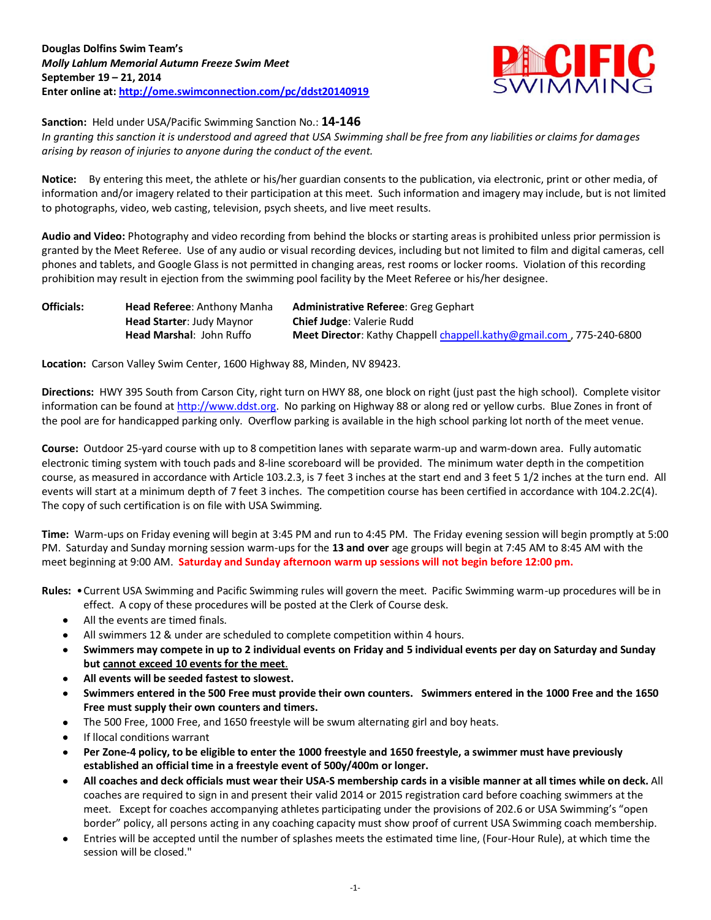

**Sanction:** Held under USA/Pacific Swimming Sanction No.: **14-146**

*In granting this sanction it is understood and agreed that USA Swimming shall be free from any liabilities or claims for damages arising by reason of injuries to anyone during the conduct of the event.*

**Notice:** By entering this meet, the athlete or his/her guardian consents to the publication, via electronic, print or other media, of information and/or imagery related to their participation at this meet. Such information and imagery may include, but is not limited to photographs, video, web casting, television, psych sheets, and live meet results.

**Audio and Video:** Photography and video recording from behind the blocks or starting areas is prohibited unless prior permission is granted by the Meet Referee. Use of any audio or visual recording devices, including but not limited to film and digital cameras, cell phones and tablets, and Google Glass is not permitted in changing areas, rest rooms or locker rooms. Violation of this recording prohibition may result in ejection from the swimming pool facility by the Meet Referee or his/her designee.

| <b>Officials:</b> | <b>Head Referee: Anthony Manha</b> | Administrative Referee: Greg Gephart                                 |
|-------------------|------------------------------------|----------------------------------------------------------------------|
|                   | <b>Head Starter: Judy Maynor</b>   | <b>Chief Judge: Valerie Rudd</b>                                     |
|                   | <b>Head Marshal: John Ruffo</b>    | Meet Director: Kathy Chappell chappell.kathy@gmail.com, 775-240-6800 |

**Location:** Carson Valley Swim Center, 1600 Highway 88, Minden, NV 89423.

**Directions:** HWY 395 South from Carson City, right turn on HWY 88, one block on right (just past the high school). Complete visitor information can be found a[t http://www.ddst.org.](http://www.ddst.org/) No parking on Highway 88 or along red or yellow curbs. Blue Zones in front of the pool are for handicapped parking only. Overflow parking is available in the high school parking lot north of the meet venue.

**Course:** Outdoor 25-yard course with up to 8 competition lanes with separate warm-up and warm-down area. Fully automatic electronic timing system with touch pads and 8-line scoreboard will be provided. The minimum water depth in the competition course, as measured in accordance with Article 103.2.3, is 7 feet 3 inches at the start end and 3 feet 5 1/2 inches at the turn end. All events will start at a minimum depth of 7 feet 3 inches. The competition course has been certified in accordance with 104.2.2C(4). The copy of such certification is on file with USA Swimming.

**Time:** Warm-ups on Friday evening will begin at 3:45 PM and run to 4:45 PM. The Friday evening session will begin promptly at 5:00 PM. Saturday and Sunday morning session warm-ups for the **13 and over** age groups will begin at 7:45 AM to 8:45 AM with the meet beginning at 9:00 AM. **Saturday and Sunday afternoon warm up sessions will not begin before 12:00 pm.**

**Rules:** •Current USA Swimming and Pacific Swimming rules will govern the meet. Pacific Swimming warm-up procedures will be in effect. A copy of these procedures will be posted at the Clerk of Course desk.

- All the events are timed finals.
- All swimmers 12 & under are scheduled to complete competition within 4 hours.
- **Swimmers may compete in up to 2 individual events on Friday and 5 individual events per day on Saturday and Sunday but cannot exceed 10 events for the meet**.
- **All events will be seeded fastest to slowest.**
- **Swimmers entered in the 500 Free must provide their own counters. Swimmers entered in the 1000 Free and the 1650 Free must supply their own counters and timers.**
- The 500 Free, 1000 Free, and 1650 freestyle will be swum alternating girl and boy heats.
- If llocal conditions warrant
- **Per Zone-4 policy, to be eligible to enter the 1000 freestyle and 1650 freestyle, a swimmer must have previously established an official time in a freestyle event of 500y/400m or longer.**
- **All coaches and deck officials must wear their USA-S membership cards in a visible manner at all times while on deck.** All coaches are required to sign in and present their valid 2014 or 2015 registration card before coaching swimmers at the meet. Except for coaches accompanying athletes participating under the provisions of 202.6 or USA Swimming's "open border" policy, all persons acting in any coaching capacity must show proof of current USA Swimming coach membership.
- Entries will be accepted until the number of splashes meets the estimated time line, (Four-Hour Rule), at which time the session will be closed."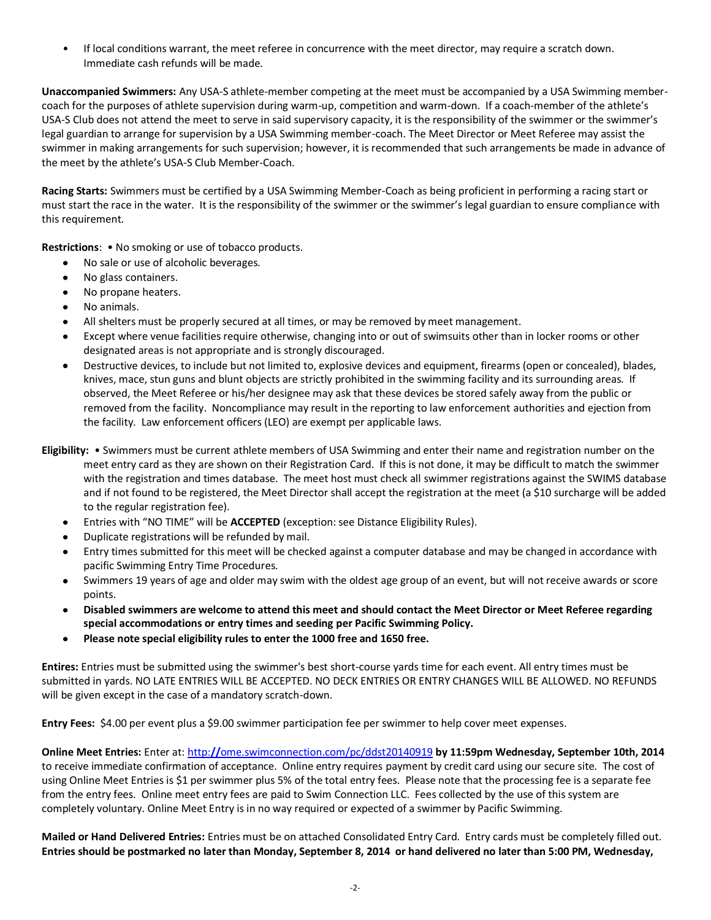• If local conditions warrant, the meet referee in concurrence with the meet director, may require a scratch down. Immediate cash refunds will be made.

**Unaccompanied Swimmers:** Any USA-S athlete-member competing at the meet must be accompanied by a USA Swimming membercoach for the purposes of athlete supervision during warm-up, competition and warm-down. If a coach-member of the athlete's USA-S Club does not attend the meet to serve in said supervisory capacity, it is the responsibility of the swimmer or the swimmer's legal guardian to arrange for supervision by a USA Swimming member-coach. The Meet Director or Meet Referee may assist the swimmer in making arrangements for such supervision; however, it is recommended that such arrangements be made in advance of the meet by the athlete's USA-S Club Member-Coach.

**Racing Starts:** Swimmers must be certified by a USA Swimming Member-Coach as being proficient in performing a racing start or must start the race in the water. It is the responsibility of the swimmer or the swimmer's legal guardian to ensure compliance with this requirement.

**Restrictions**: • No smoking or use of tobacco products.

- No sale or use of alcoholic beverages.
- No glass containers.
- No propane heaters.
- No animals.
- All shelters must be properly secured at all times, or may be removed by meet management.
- Except where venue facilities require otherwise, changing into or out of swimsuits other than in locker rooms or other designated areas is not appropriate and is strongly discouraged.
- Destructive devices, to include but not limited to, explosive devices and equipment, firearms (open or concealed), blades, knives, mace, stun guns and blunt objects are strictly prohibited in the swimming facility and its surrounding areas. If observed, the Meet Referee or his/her designee may ask that these devices be stored safely away from the public or removed from the facility. Noncompliance may result in the reporting to law enforcement authorities and ejection from the facility. Law enforcement officers (LEO) are exempt per applicable laws.
- **Eligibility:** Swimmers must be current athlete members of USA Swimming and enter their name and registration number on the meet entry card as they are shown on their Registration Card. If this is not done, it may be difficult to match the swimmer with the registration and times database. The meet host must check all swimmer registrations against the SWIMS database and if not found to be registered, the Meet Director shall accept the registration at the meet (a \$10 surcharge will be added to the regular registration fee).
	- Entries with "NO TIME" will be **ACCEPTED** (exception: see Distance Eligibility Rules).  $\bullet$
	- Duplicate registrations will be refunded by mail.
	- Entry times submitted for this meet will be checked against a computer database and may be changed in accordance with pacific Swimming Entry Time Procedures.
	- Swimmers 19 years of age and older may swim with the oldest age group of an event, but will not receive awards or score points.
	- **Disabled swimmers are welcome to attend this meet and should contact the Meet Director or Meet Referee regarding special accommodations or entry times and seeding per Pacific Swimming Policy.**
	- **Please note special eligibility rules to enter the 1000 free and 1650 free.**  $\bullet$

**Entires:** Entries must be submitted using the swimmer's best short-course yards time for each event. All entry times must be submitted in yards. NO LATE ENTRIES WILL BE ACCEPTED. NO DECK ENTRIES OR ENTRY CHANGES WILL BE ALLOWED. NO REFUNDS will be given except in the case of a mandatory scratch-down.

**Entry Fees:** \$4.00 per event plus a \$9.00 swimmer participation fee per swimmer to help cover meet expenses.

**Online Meet Entries:** Enter at: http:**//**[ome.swimconnection.com/pc/ddst20140919](http://ome.swimconnection.com/pc/ddst20140919) **by 11:59pm Wednesday, September 10th, 2014** to receive immediate confirmation of acceptance. Online entry requires payment by credit card using our secure site. The cost of using Online Meet Entries is \$1 per swimmer plus 5% of the total entry fees. Please note that the processing fee is a separate fee from the entry fees. Online meet entry fees are paid to Swim Connection LLC. Fees collected by the use of this system are completely voluntary. Online Meet Entry is in no way required or expected of a swimmer by Pacific Swimming.

**Mailed or Hand Delivered Entries:** Entries must be on attached Consolidated Entry Card. Entry cards must be completely filled out. **Entries should be postmarked no later than Monday, September 8, 2014 or hand delivered no later than 5:00 PM, Wednesday,**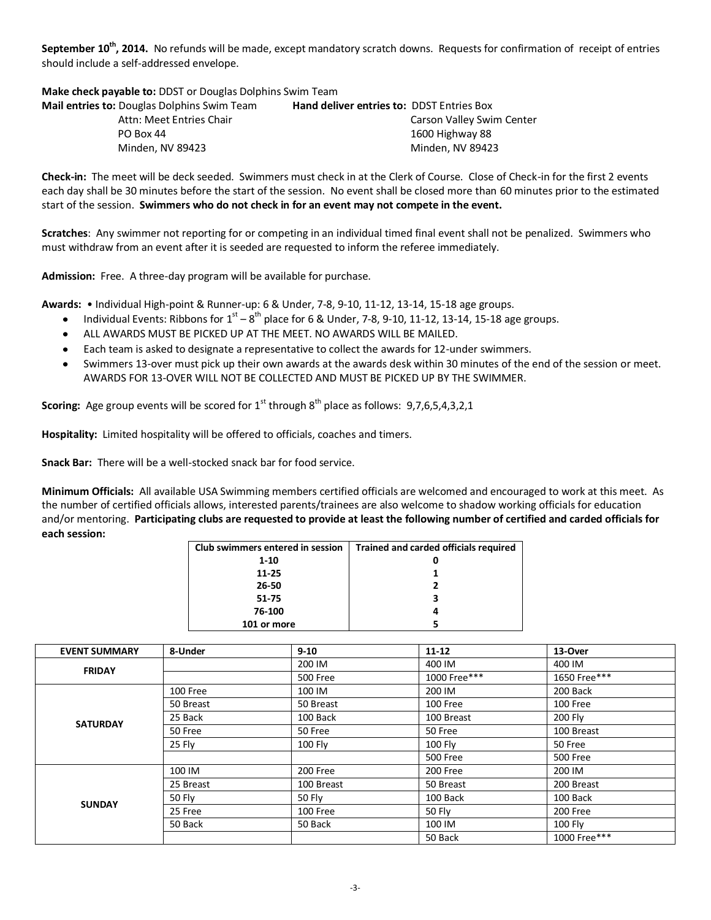**September 10th, 2014.** No refunds will be made, except mandatory scratch downs. Requests for confirmation of receipt of entries should include a self-addressed envelope.

**Make check payable to:** DDST or Douglas Dolphins Swim Team

| <b>Mail entries to:</b> Douglas Dolphins Swim Team | <b>Hand deliver entries to: DDST Entries Box</b> |                           |
|----------------------------------------------------|--------------------------------------------------|---------------------------|
| Attn: Meet Entries Chair                           |                                                  | Carson Valley Swim Center |
| PO Box 44                                          |                                                  | 1600 Highway 88           |
| Minden. NV 89423                                   |                                                  | Minden. NV 89423          |

**Check-in:** The meet will be deck seeded. Swimmers must check in at the Clerk of Course. Close of Check-in for the first 2 events each day shall be 30 minutes before the start of the session. No event shall be closed more than 60 minutes prior to the estimated start of the session. **Swimmers who do not check in for an event may not compete in the event.**

**Scratches**: Any swimmer not reporting for or competing in an individual timed final event shall not be penalized. Swimmers who must withdraw from an event after it is seeded are requested to inform the referee immediately.

**Admission:** Free. A three-day program will be available for purchase.

**Awards:** • Individual High-point & Runner-up: 6 & Under, 7-8, 9-10, 11-12, 13-14, 15-18 age groups.

- Individual Events: Ribbons for  $1<sup>st</sup> 8<sup>th</sup>$  place for 6 & Under, 7-8, 9-10, 11-12, 13-14, 15-18 age groups.
- ALL AWARDS MUST BE PICKED UP AT THE MEET. NO AWARDS WILL BE MAILED.
- Each team is asked to designate a representative to collect the awards for 12-under swimmers.
- Swimmers 13-over must pick up their own awards at the awards desk within 30 minutes of the end of the session or meet. AWARDS FOR 13-OVER WILL NOT BE COLLECTED AND MUST BE PICKED UP BY THE SWIMMER.

**Scoring:** Age group events will be scored for 1<sup>st</sup> through 8<sup>th</sup> place as follows: 9,7,6,5,4,3,2,1

**Hospitality:** Limited hospitality will be offered to officials, coaches and timers.

**Snack Bar:** There will be a well-stocked snack bar for food service.

**Minimum Officials:** All available USA Swimming members certified officials are welcomed and encouraged to work at this meet. As the number of certified officials allows, interested parents/trainees are also welcome to shadow working officials for education and/or mentoring. **Participating clubs are requested to provide at least the following number of certified and carded officials for each session:**

| Club swimmers entered in session | Trained and carded officials required |
|----------------------------------|---------------------------------------|
| $1 - 10$                         |                                       |
| 11-25                            |                                       |
| 26-50                            |                                       |
| 51-75                            |                                       |
| 76-100                           |                                       |
| 101 or more                      |                                       |

| <b>EVENT SUMMARY</b> | 8-Under   | $9 - 10$      | $11 - 12$       | 13-Over         |
|----------------------|-----------|---------------|-----------------|-----------------|
| <b>FRIDAY</b>        |           | 200 IM        | 400 IM          | 400 IM          |
|                      |           | 500 Free      | 1000 Free***    | 1650 Free***    |
|                      | 100 Free  | 100 IM        | 200 IM          | 200 Back        |
|                      | 50 Breast | 50 Breast     | 100 Free        | 100 Free        |
| <b>SATURDAY</b>      | 25 Back   | 100 Back      | 100 Breast      | <b>200 Fly</b>  |
|                      | 50 Free   | 50 Free       | 50 Free         | 100 Breast      |
|                      | 25 Fly    | 100 Fly       | 100 Fly         | 50 Free         |
|                      |           |               | <b>500 Free</b> | <b>500 Free</b> |
|                      | 100 IM    | 200 Free      | 200 Free        | 200 IM          |
|                      | 25 Breast | 100 Breast    | 50 Breast       | 200 Breast      |
| <b>SUNDAY</b>        | 50 Fly    | <b>50 Fly</b> | 100 Back        | 100 Back        |
|                      | 25 Free   | 100 Free      | <b>50 Fly</b>   | 200 Free        |
|                      | 50 Back   | 50 Back       | 100 IM          | <b>100 Fly</b>  |
|                      |           |               | 50 Back         | 1000 Free***    |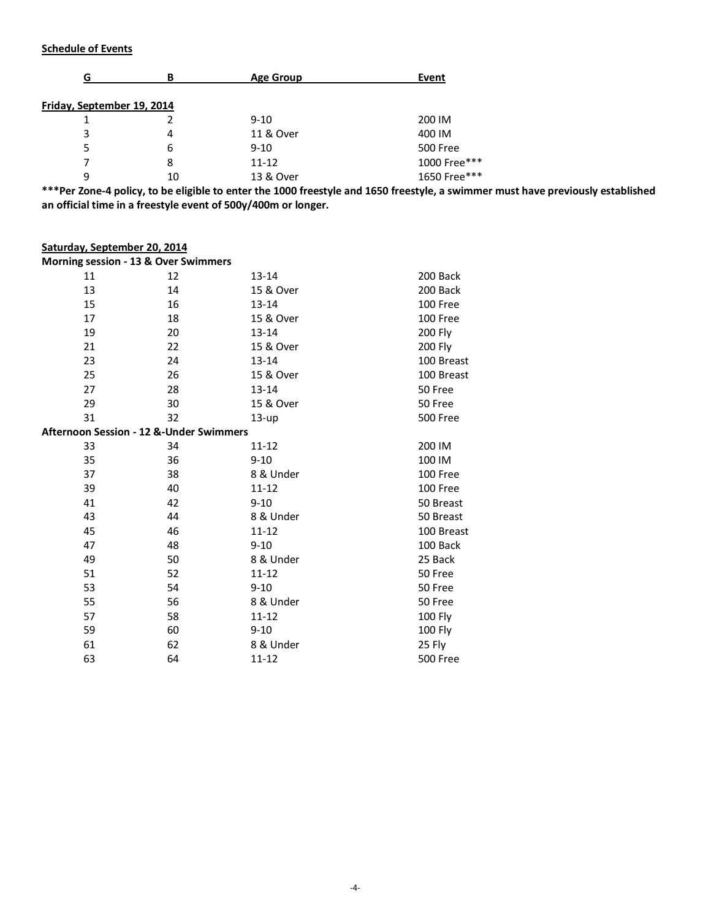## **Schedule of Events**

|                            | в  | <b>Age Group</b> | Event           |
|----------------------------|----|------------------|-----------------|
| Friday, September 19, 2014 |    |                  |                 |
|                            |    | $9 - 10$         | 200 IM          |
| 3                          | 4  | 11 & Over        | 400 IM          |
| 5                          | b  | $9 - 10$         | <b>500 Free</b> |
|                            | 8  | $11 - 12$        | 1000 Free***    |
| 9                          | 10 | 13 & Over        | 1650 Free***    |

**\*\*\*Per Zone-4 policy, to be eligible to enter the 1000 freestyle and 1650 freestyle, a swimmer must have previously established an official time in a freestyle event of 500y/400m or longer.**

## **Saturday, September 20, 2014**

**Morning session - 13 & Over Swimmers**

| 11                                      | 12 | 13-14     | 200 Back        |
|-----------------------------------------|----|-----------|-----------------|
| 13                                      | 14 | 15 & Over | 200 Back        |
| 15                                      | 16 | 13-14     | 100 Free        |
| 17                                      | 18 | 15 & Over | 100 Free        |
| 19                                      | 20 | 13-14     | 200 Fly         |
| 21                                      | 22 | 15 & Over | 200 Fly         |
| 23                                      | 24 | 13-14     | 100 Breast      |
| 25                                      | 26 | 15 & Over | 100 Breast      |
| 27                                      | 28 | 13-14     | 50 Free         |
| 29                                      | 30 | 15 & Over | 50 Free         |
| 31                                      | 32 | $13-up$   | <b>500 Free</b> |
| Afternoon Session - 12 &-Under Swimmers |    |           |                 |
| 33                                      | 34 | $11 - 12$ | 200 IM          |
| 35                                      | 36 | $9 - 10$  | 100 IM          |
| 37                                      | 38 | 8 & Under | 100 Free        |
| 39                                      | 40 | $11 - 12$ | 100 Free        |
| 41                                      | 42 | $9 - 10$  | 50 Breast       |
| 43                                      | 44 | 8 & Under | 50 Breast       |
| 45                                      | 46 | $11 - 12$ | 100 Breast      |
| 47                                      | 48 | $9 - 10$  | 100 Back        |
| 49                                      | 50 | 8 & Under | 25 Back         |
| 51                                      | 52 | $11 - 12$ | 50 Free         |
| 53                                      | 54 | $9 - 10$  | 50 Free         |
| 55                                      | 56 | 8 & Under | 50 Free         |
| 57                                      | 58 | $11 - 12$ | 100 Fly         |
| 59                                      | 60 | $9 - 10$  | 100 Fly         |
| 61                                      | 62 | 8 & Under | 25 Fly          |
| 63                                      | 64 | 11-12     | <b>500 Free</b> |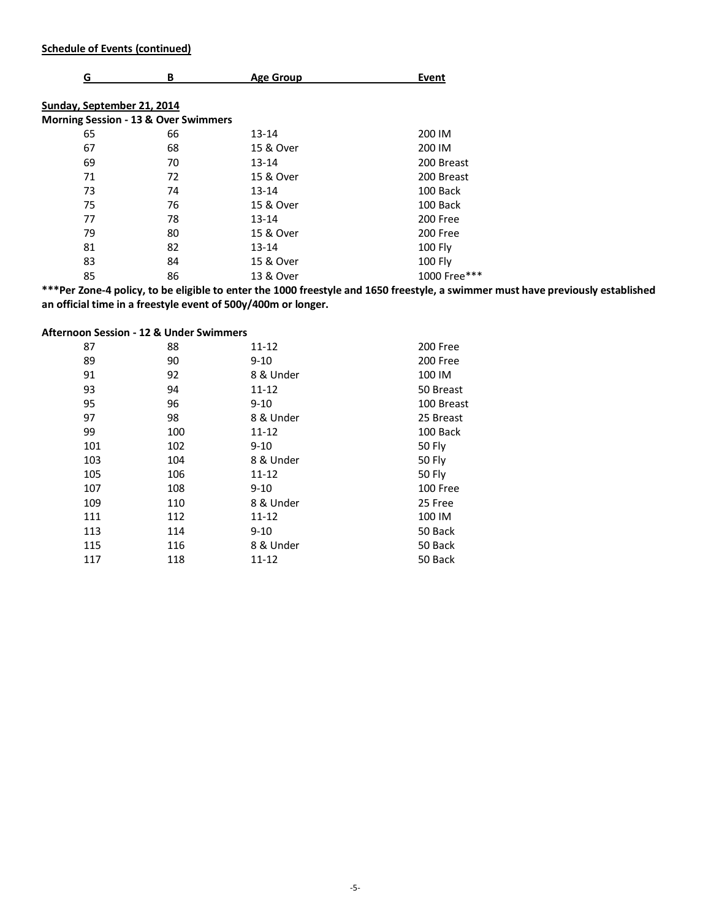## **Schedule of Events (continued)**

| G                          | В                                               | <b>Age Group</b> | Event          |
|----------------------------|-------------------------------------------------|------------------|----------------|
| Sunday, September 21, 2014 |                                                 |                  |                |
|                            | <b>Morning Session - 13 &amp; Over Swimmers</b> |                  |                |
| 65                         | 66                                              | $13 - 14$        | 200 IM         |
| 67                         | 68                                              | 15 & Over        | 200 IM         |
| 69                         | 70                                              | $13 - 14$        | 200 Breast     |
| 71                         | 72                                              | 15 & Over        | 200 Breast     |
| 73                         | 74                                              | $13 - 14$        | 100 Back       |
| 75                         | 76                                              | 15 & Over        | 100 Back       |
| 77                         | 78                                              | $13 - 14$        | 200 Free       |
| 79                         | 80                                              | 15 & Over        | 200 Free       |
| 81                         | 82                                              | $13 - 14$        | <b>100 Fly</b> |
| 83                         | 84                                              | 15 & Over        | 100 Fly        |
| 85                         | 86                                              | 13 & Over        | 1000 Free***   |

**\*\*\*Per Zone-4 policy, to be eligible to enter the 1000 freestyle and 1650 freestyle, a swimmer must have previously established an official time in a freestyle event of 500y/400m or longer.**

## **Afternoon Session - 12 & Under Swimmers**

| 87  | 88  | $11 - 12$ | 200 Free   |
|-----|-----|-----------|------------|
| 89  | 90  | $9 - 10$  | 200 Free   |
| 91  | 92  | 8 & Under | 100 IM     |
| 93  | 94  | $11 - 12$ | 50 Breast  |
| 95  | 96  | $9 - 10$  | 100 Breast |
| 97  | 98  | 8 & Under | 25 Breast  |
| 99  | 100 | $11 - 12$ | 100 Back   |
| 101 | 102 | $9 - 10$  | 50 Fly     |
| 103 | 104 | 8 & Under | 50 Fly     |
| 105 | 106 | $11 - 12$ | 50 Fly     |
| 107 | 108 | $9 - 10$  | 100 Free   |
| 109 | 110 | 8 & Under | 25 Free    |
| 111 | 112 | 11-12     | 100 IM     |
| 113 | 114 | $9 - 10$  | 50 Back    |
| 115 | 116 | 8 & Under | 50 Back    |
| 117 | 118 | 11-12     | 50 Back    |